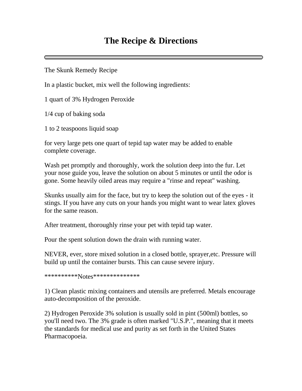## **The Recipe & Directions**

The Skunk Remedy Recipe

In a plastic bucket, mix well the following ingredients:

1 quart of 3% Hydrogen Peroxide

1/4 cup of baking soda

1 to 2 teaspoons liquid soap

for very large pets one quart of tepid tap water may be added to enable complete coverage.

Wash pet promptly and thoroughly, work the solution deep into the fur. Let your nose guide you, leave the solution on about 5 minutes or until the odor is gone. Some heavily oiled areas may require a "rinse and repeat" washing.

Skunks usually aim for the face, but try to keep the solution out of the eyes - it stings. If you have any cuts on your hands you might want to wear latex gloves for the same reason.

After treatment, thoroughly rinse your pet with tepid tap water.

Pour the spent solution down the drain with running water.

NEVER, ever, store mixed solution in a closed bottle, sprayer,etc. Pressure will build up until the container bursts. This can cause severe injury.

\*\*\*\*\*\*\*\*\*\*Notes\*\*\*\*\*\*\*\*\*\*\*\*\*\*

1) Clean plastic mixing containers and utensils are preferred. Metals encourage auto-decomposition of the peroxide.

2) Hydrogen Peroxide 3% solution is usually sold in pint (500ml) bottles, so you'll need two. The 3% grade is often marked "U.S.P.", meaning that it meets the standards for medical use and purity as set forth in the United States Pharmacopoeia.